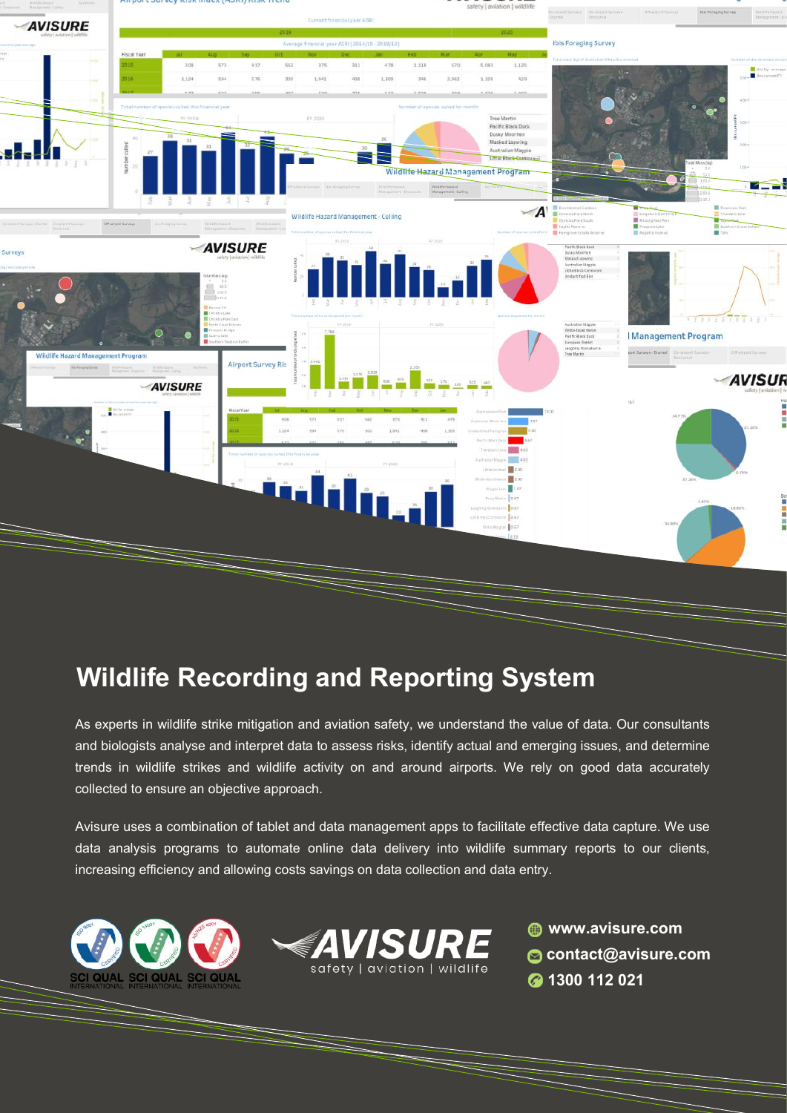

## **Wildlife Recording and Reporting System**

As experts in wildlife strike mitigation and aviation safety, we understand the value of data. Our consultants and biologists analyse and interpret data to assess risks, identify actual and emerging issues, and determine trends in wildlife strikes and wildlife activity on and around airports. We rely on good data accurately collected to ensure an objective approach.

Avisure uses a combination of tablet and data management apps to facilitate effective data capture. We use data analysis programs to automate online data delivery into wildlife summary reports to our clients, increasing efficiency and allowing costs savings on data collection and data entry.





**www.avisure.com contact@avisure.com 1300 112 021**